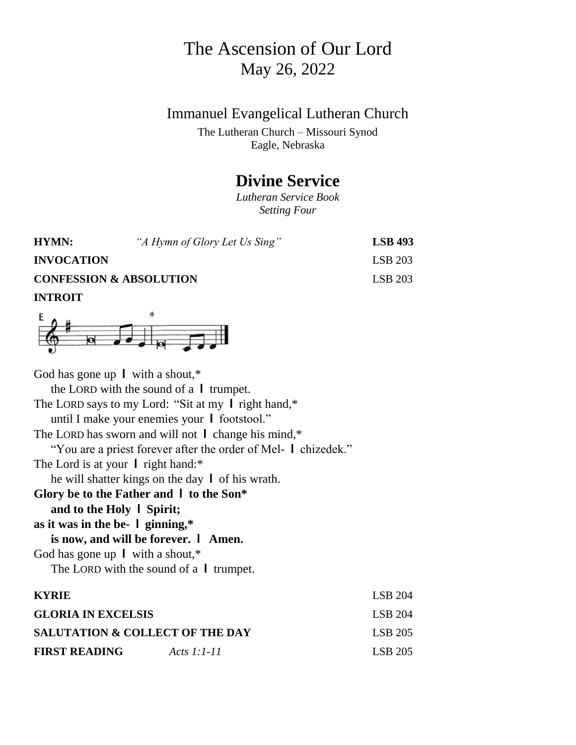## The Ascension of Our Lord May 26, 2022

## Immanuel Evangelical Lutheran Church

The Lutheran Church – Missouri Synod Eagle, Nebraska

## **Divine Service**

*Lutheran Service Book Setting Four*

| HYMN:                              | "A Hymn of Glory Let Us Sing" | <b>LSB</b> 493 |
|------------------------------------|-------------------------------|----------------|
| <b>INVOCATION</b>                  |                               | LSB 203        |
| <b>CONFESSION &amp; ABSOLUTION</b> |                               | <b>LSB 203</b> |
| <b>INTROIT</b>                     |                               |                |



God has gone up **l** with a shout,\* the LORD with the sound of a **l** trumpet. The LORD says to my Lord: "Sit at my **l** right hand,\* until I make your enemies your **l** footstool." The LORD has sworn and will not **l** change his mind,\* "You are a priest forever after the order of Mel- **l** chizedek." The Lord is at your **l** right hand:\* he will shatter kings on the day **l** of his wrath. **Glory be to the Father and l to the Son\* and to the Holy l Spirit; as it was in the be- l ginning,\* is now, and will be forever. l Amen.** God has gone up **l** with a shout,\* The LORD with the sound of a **l** trumpet. **KYRIE** LSB 204 **GLORIA IN EXCELSIS** LSB 204 **SALUTATION & COLLECT OF THE DAY** LSB 205 **FIRST READING** *Acts 1:1-11* LSB 205